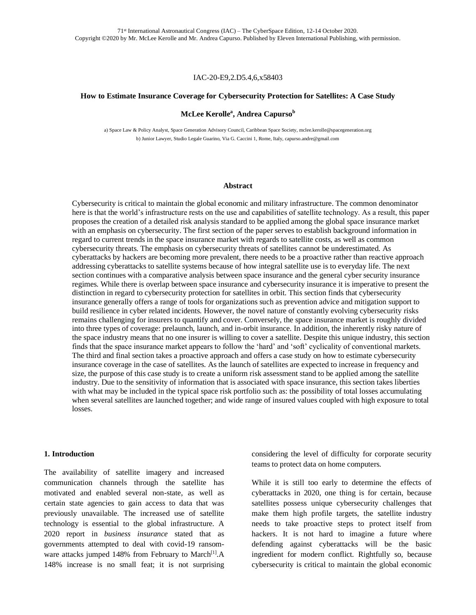#### IAC-20-E9,2.D5.4,6,x58403

### **How to Estimate Insurance Coverage for Cybersecurity Protection for Satellites: A Case Study**

### **McLee Kerolle<sup>a</sup> , Andrea Capurso<sup>b</sup>**

a) Space Law & Policy Analyst, Space Generation Advisory Council, Caribbean Space Society, mclee.kerolle@spacegeneration.org b) Junior Lawyer, Studio Legale Guarino, Via G. Caccini 1, Rome, Italy, capurso.andre@gmail.com

#### **Abstract**

Cybersecurity is critical to maintain the global economic and military infrastructure. The common denominator here is that the world's infrastructure rests on the use and capabilities of satellite technology. As a result, this paper proposes the creation of a detailed risk analysis standard to be applied among the global space insurance market with an emphasis on cybersecurity. The first section of the paper serves to establish background information in regard to current trends in the space insurance market with regards to satellite costs, as well as common cybersecurity threats. The emphasis on cybersecurity threats of satellites cannot be underestimated. As cyberattacks by hackers are becoming more prevalent, there needs to be a proactive rather than reactive approach addressing cyberattacks to satellite systems because of how integral satellite use is to everyday life. The next section continues with a comparative analysis between space insurance and the general cyber security insurance regimes. While there is overlap between space insurance and cybersecurity insurance it is imperative to present the distinction in regard to cybersecurity protection for satellites in orbit. This section finds that cybersecurity insurance generally offers a range of tools for organizations such as prevention advice and mitigation support to build resilience in cyber related incidents. However, the novel nature of constantly evolving cybersecurity risks remains challenging for insurers to quantify and cover. Conversely, the space insurance market is roughly divided into three types of coverage: prelaunch, launch, and in-orbit insurance. In addition, the inherently risky nature of the space industry means that no one insurer is willing to cover a satellite. Despite this unique industry, this section finds that the space insurance market appears to follow the 'hard' and 'soft' cyclicality of conventional markets. The third and final section takes a proactive approach and offers a case study on how to estimate cybersecurity insurance coverage in the case of satellites. As the launch of satellites are expected to increase in frequency and size, the purpose of this case study is to create a uniform risk assessment stand to be applied among the satellite industry. Due to the sensitivity of information that is associated with space insurance, this section takes liberties with what may be included in the typical space risk portfolio such as: the possibility of total losses accumulating when several satellites are launched together; and wide range of insured values coupled with high exposure to total losses.

#### **1. Introduction**

The availability of satellite imagery and increased communication channels through the satellite has motivated and enabled several non-state, as well as certain state agencies to gain access to data that was previously unavailable. The increased use of satellite technology is essential to the global infrastructure. A 2020 report in *business insurance* stated that as governments attempted to deal with covid-19 ransomware attacks jumped 148% from February to March<sup>[1]</sup>.A 148% increase is no small feat; it is not surprising

considering the level of difficulty for corporate security teams to protect data on home computers.

While it is still too early to determine the effects of cyberattacks in 2020, one thing is for certain, because satellites possess unique cybersecurity challenges that make them high profile targets, the satellite industry needs to take proactive steps to protect itself from hackers. It is not hard to imagine a future where defending against cyberattacks will be the basic ingredient for modern conflict. Rightfully so, because cybersecurity is critical to maintain the global economic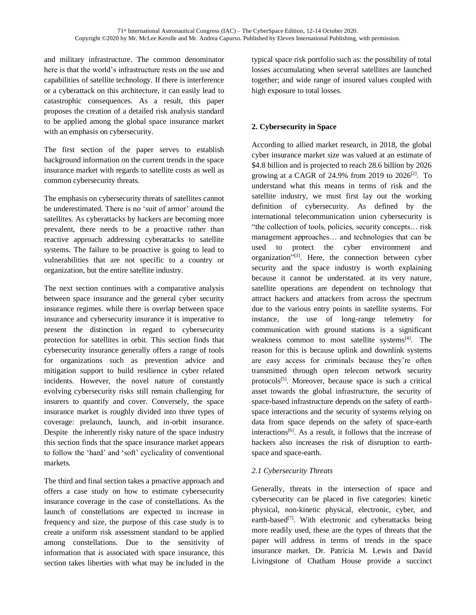and military infrastructure. The common denominator here is that the world's infrastructure rests on the use and capabilities of satellite technology. If there is interference or a cyberattack on this architecture, it can easily lead to catastrophic consequences. As a result, this paper proposes the creation of a detailed risk analysis standard to be applied among the global space insurance market with an emphasis on cybersecurity.

The first section of the paper serves to establish background information on the current trends in the space insurance market with regards to satellite costs as well as common cybersecurity threats.

The emphasis on cybersecurity threats of satellites cannot be underestimated. There is no 'suit of armor' around the satellites. As cyberattacks by hackers are becoming more prevalent, there needs to be a proactive rather than reactive approach addressing cyberattacks to satellite systems. The failure to be proactive is going to lead to vulnerabilities that are not specific to a country or organization, but the entire satellite industry.

The next section continues with a comparative analysis between space insurance and the general cyber security insurance regimes. while there is overlap between space insurance and cybersecurity insurance it is imperative to present the distinction in regard to cybersecurity protection for satellites in orbit. This section finds that cybersecurity insurance generally offers a range of tools for organizations such as prevention advice and mitigation support to build resilience in cyber related incidents. However, the novel nature of constantly evolving cybersecurity risks still remain challenging for insurers to quantify and cover. Conversely, the space insurance market is roughly divided into three types of coverage: prelaunch, launch, and in-orbit insurance. Despite the inherently risky nature of the space industry this section finds that the space insurance market appears to follow the 'hard' and 'soft' cyclicality of conventional markets.

The third and final section takes a proactive approach and offers a case study on how to estimate cybersecurity insurance coverage in the case of constellations. As the launch of constellations are expected to increase in frequency and size, the purpose of this case study is to create a uniform risk assessment standard to be applied among constellations. Due to the sensitivity of information that is associated with space insurance, this section takes liberties with what may be included in the

typical space risk portfolio such as: the possibility of total losses accumulating when several satellites are launched together; and wide range of insured values coupled with high exposure to total losses.

# **2. Cybersecurity in Space**

According to allied market research, in 2018, the global cyber insurance market size was valued at an estimate of \$4.8 billion and is projected to reach 28.6 billion by 2026 growing at a CAGR of 24.9% from 2019 to 2026[2] . To understand what this means in terms of risk and the satellite industry, we must first lay out the working definition of cybersecurity. As defined by the international telecommunication union cybersecurity is "the collection of tools, policies, security concepts… risk management approaches… and technologies that can be used to protect the cyber environment and organization"<sup>[3]</sup>. Here, the connection between cyber security and the space industry is worth explaining because it cannot be understated. at its very nature, satellite operations are dependent on technology that attract hackers and attackers from across the spectrum due to the various entry points in satellite systems. For instance, the use of long-range telemetry for communication with ground stations is a significant weakness common to most satellite systems<sup>[4]</sup>. The reason for this is because uplink and downlink systems are easy access for criminals because they're often transmitted through open telecom network security protocols<sup>[5]</sup>. Moreover, because space is such a critical asset towards the global infrastructure, the security of space-based infrastructure depends on the safety of earthspace interactions and the security of systems relying on data from space depends on the safety of space-earth interactions<sup>[6]</sup>. As a result, it follows that the increase of hackers also increases the risk of disruption to earthspace and space-earth.

## *2.1 Cybersecurity Threats*

Generally, threats in the intersection of space and cybersecurity can be placed in five categories: kinetic physical, non-kinetic physical, electronic, cyber, and earth-based<sup>[7]</sup>. With electronic and cyberattacks being more readily used, these are the types of threats that the paper will address in terms of trends in the space insurance market. Dr. Patricia M. Lewis and David Livingstone of Chatham House provide a succinct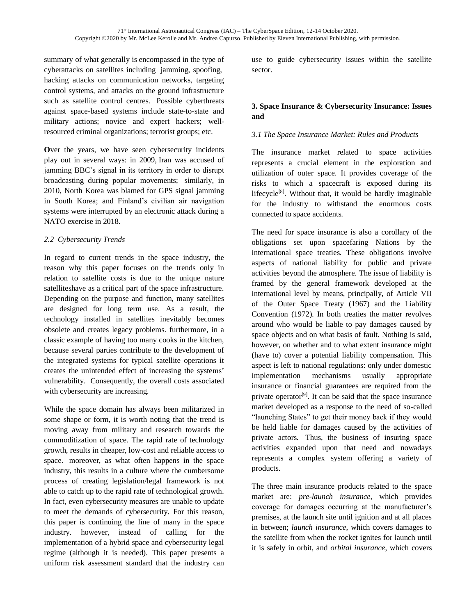summary of what generally is encompassed in the type of cyberattacks on satellites including jamming, spoofing, hacking attacks on communication networks, targeting control systems, and attacks on the ground infrastructure such as satellite control centres. Possible cyberthreats against space-based systems include state-to-state and military actions; novice and expert hackers; wellresourced criminal organizations; terrorist groups; etc.

**O**ver the years, we have seen cybersecurity incidents play out in several ways: in 2009, Iran was accused of jamming BBC's signal in its territory in order to disrupt broadcasting during popular movements; similarly, in 2010, North Korea was blamed for GPS signal jamming in South Korea; and Finland's civilian air navigation systems were interrupted by an electronic attack during a NATO exercise in 2018.

## *2.2 Cybersecurity Trends*

In regard to current trends in the space industry, the reason why this paper focuses on the trends only in relation to satellite costs is due to the unique nature satelliteshave as a critical part of the space infrastructure. Depending on the purpose and function, many satellites are designed for long term use. As a result, the technology installed in satellites inevitably becomes obsolete and creates legacy problems. furthermore, in a classic example of having too many cooks in the kitchen, because several parties contribute to the development of the integrated systems for typical satellite operations it creates the unintended effect of increasing the systems' vulnerability. Consequently, the overall costs associated with cybersecurity are increasing.

While the space domain has always been militarized in some shape or form, it is worth noting that the trend is moving away from military and research towards the commoditization of space. The rapid rate of technology growth, results in cheaper, low-cost and reliable access to space. moreover, as what often happens in the space industry, this results in a culture where the cumbersome process of creating legislation/legal framework is not able to catch up to the rapid rate of technological growth. In fact, even cybersecurity measures are unable to update to meet the demands of cybersecurity. For this reason, this paper is continuing the line of many in the space industry. however, instead of calling for the implementation of a hybrid space and cybersecurity legal regime (although it is needed). This paper presents a uniform risk assessment standard that the industry can

use to guide cybersecurity issues within the satellite sector.

# **3. Space Insurance & Cybersecurity Insurance: Issues and**

# *3.1 The Space Insurance Market: Rules and Products*

The insurance market related to space activities represents a crucial element in the exploration and utilization of outer space. It provides coverage of the risks to which a spacecraft is exposed during its lifecycle<sup>[8]</sup>. Without that, it would be hardly imaginable for the industry to withstand the enormous costs connected to space accidents.

The need for space insurance is also a corollary of the obligations set upon spacefaring Nations by the international space treaties. These obligations involve aspects of national liability for public and private activities beyond the atmosphere. The issue of liability is framed by the general framework developed at the international level by means, principally, of Article VII of the Outer Space Treaty (1967) and the Liability Convention (1972). In both treaties the matter revolves around who would be liable to pay damages caused by space objects and on what basis of fault. Nothing is said, however, on whether and to what extent insurance might (have to) cover a potential liability compensation. This aspect is left to national regulations: only under domestic implementation mechanisms usually appropriate insurance or financial guarantees are required from the private operator<sup>[9]</sup>. It can be said that the space insurance market developed as a response to the need of so-called "launching States" to get their money back if they would be held liable for damages caused by the activities of private actors. Thus, the business of insuring space activities expanded upon that need and nowadays represents a complex system offering a variety of products.

The three main insurance products related to the space market are: *pre-launch insurance*, which provides coverage for damages occurring at the manufacturer's premises, at the launch site until ignition and at all places in between; *launch insurance*, which covers damages to the satellite from when the rocket ignites for launch until it is safely in orbit, and *orbital insurance*, which covers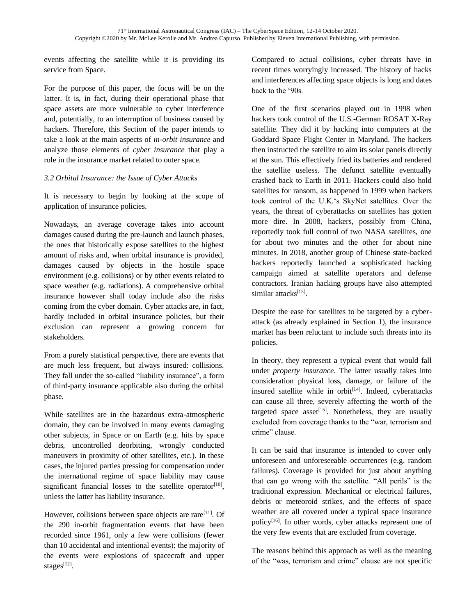events affecting the satellite while it is providing its service from Space.

For the purpose of this paper, the focus will be on the latter. It is, in fact, during their operational phase that space assets are more vulnerable to cyber interference and, potentially, to an interruption of business caused by hackers. Therefore, this Section of the paper intends to take a look at the main aspects of *in-orbit insurance* and analyze those elements of *cyber insurance* that play a role in the insurance market related to outer space.

## *3.2 Orbital Insurance: the Issue of Cyber Attacks*

It is necessary to begin by looking at the scope of application of insurance policies.

Nowadays, an average coverage takes into account damages caused during the pre-launch and launch phases, the ones that historically expose satellites to the highest amount of risks and, when orbital insurance is provided, damages caused by objects in the hostile space environment (e.g. collisions) or by other events related to space weather (e.g. radiations). A comprehensive orbital insurance however shall today include also the risks coming from the cyber domain. Cyber attacks are, in fact, hardly included in orbital insurance policies, but their exclusion can represent a growing concern for stakeholders.

From a purely statistical perspective, there are events that are much less frequent, but always insured: collisions. They fall under the so-called "liability insurance", a form of third-party insurance applicable also during the orbital phase.

While satellites are in the hazardous extra-atmospheric domain, they can be involved in many events damaging other subjects, in Space or on Earth (e.g. hits by space debris, uncontrolled deorbiting, wrongly conducted maneuvers in proximity of other satellites, etc.). In these cases, the injured parties pressing for compensation under the international regime of space liability may cause significant financial losses to the satellite operator $[10]$ , unless the latter has liability insurance.

However, collisions between space objects are rare<sup>[11]</sup>. Of the 290 in-orbit fragmentation events that have been recorded since 1961, only a few were collisions (fewer than 10 accidental and intentional events); the majority of the events were explosions of spacecraft and upper stages $^{[12]}$ .

Compared to actual collisions, cyber threats have in recent times worryingly increased. The history of hacks and interferences affecting space objects is long and dates back to the '90s.

One of the first scenarios played out in 1998 when hackers took control of the U.S.-German ROSAT X-Ray satellite. They did it by hacking into computers at the Goddard Space Flight Center in Maryland. The hackers then instructed the satellite to aim its solar panels directly at the sun. This effectively fried its batteries and rendered the satellite useless. The defunct satellite eventually crashed back to Earth in 2011. Hackers could also hold satellites for ransom, as happened in 1999 when hackers took control of the U.K.'s SkyNet satellites. Over the years, the threat of cyberattacks on satellites has gotten more dire. In 2008, hackers, possibly from China, reportedly took full control of two NASA satellites, one for about two minutes and the other for about nine minutes. In 2018, another group of Chinese state-backed hackers reportedly launched a sophisticated hacking campaign aimed at satellite operators and defense contractors. Iranian hacking groups have also attempted similar attacks<sup>[13]</sup>.

Despite the ease for satellites to be targeted by a cyberattack (as already explained in Section 1), the insurance market has been reluctant to include such threats into its policies.

In theory, they represent a typical event that would fall under *property insurance*. The latter usually takes into consideration physical loss, damage, or failure of the insured satellite while in orbit $[14]$ . Indeed, cyberattacks can cause all three, severely affecting the worth of the targeted space asset<sup>[15]</sup>. Nonetheless, they are usually excluded from coverage thanks to the "war, terrorism and crime" clause.

It can be said that insurance is intended to cover only unforeseen and unforeseeable occurrences (e.g. random failures). Coverage is provided for just about anything that can go wrong with the satellite. "All perils" is the traditional expression. Mechanical or electrical failures, debris or meteoroid strikes, and the effects of space weather are all covered under a typical space insurance policy<sup>[16]</sup>. In other words, cyber attacks represent one of the very few events that are excluded from coverage.

The reasons behind this approach as well as the meaning of the "was, terrorism and crime" clause are not specific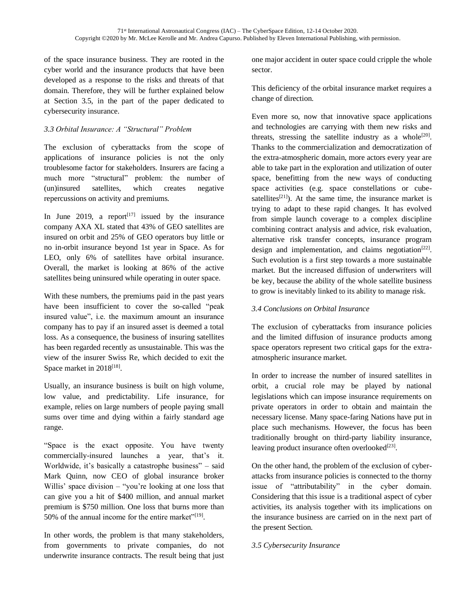of the space insurance business. They are rooted in the cyber world and the insurance products that have been developed as a response to the risks and threats of that domain. Therefore, they will be further explained below at Section 3.5, in the part of the paper dedicated to cybersecurity insurance.

## *3.3 Orbital Insurance: A "Structural" Problem*

The exclusion of cyberattacks from the scope of applications of insurance policies is not the only troublesome factor for stakeholders. Insurers are facing a much more "structural" problem: the number of (un)insured satellites, which creates negative repercussions on activity and premiums.

In June 2019, a report<sup>[17]</sup> issued by the insurance company AXA XL stated that 43% of GEO satellites are insured on orbit and 25% of GEO operators buy little or no in-orbit insurance beyond 1st year in Space. As for LEO, only 6% of satellites have orbital insurance. Overall, the market is looking at 86% of the active satellites being uninsured while operating in outer space.

With these numbers, the premiums paid in the past years have been insufficient to cover the so-called "peak insured value", i.e. the maximum amount an insurance company has to pay if an insured asset is deemed a total loss. As a consequence, the business of insuring satellites has been regarded recently as unsustainable. This was the view of the insurer Swiss Re, which decided to exit the Space market in 2018<sup>[18]</sup>.

Usually, an insurance business is built on high volume, low value, and predictability. Life insurance, for example, relies on large numbers of people paying small sums over time and dying within a fairly standard age range.

"Space is the exact opposite. You have twenty commercially-insured launches a year, that's it. Worldwide, it's basically a catastrophe business" – said Mark Quinn, now CEO of global insurance broker Willis' space division – "you're looking at one loss that can give you a hit of \$400 million, and annual market premium is \$750 million. One loss that burns more than 50% of the annual income for the entire market"<sup>[19]</sup>.

In other words, the problem is that many stakeholders, from governments to private companies, do not underwrite insurance contracts. The result being that just

one major accident in outer space could cripple the whole sector.

This deficiency of the orbital insurance market requires a change of direction.

Even more so, now that innovative space applications and technologies are carrying with them new risks and threats, stressing the satellite industry as a whole $[20]$ . Thanks to the commercialization and democratization of the extra-atmospheric domain, more actors every year are able to take part in the exploration and utilization of outer space, benefitting from the new ways of conducting space activities (e.g. space constellations or cubesatellites<sup>[21]</sup>). At the same time, the insurance market is trying to adapt to these rapid changes. It has evolved from simple launch coverage to a complex discipline combining contract analysis and advice, risk evaluation, alternative risk transfer concepts, insurance program design and implementation, and claims negotiation<sup>[22]</sup>. Such evolution is a first step towards a more sustainable market. But the increased diffusion of underwriters will be key, because the ability of the whole satellite business to grow is inevitably linked to its ability to manage risk.

### *3.4 Conclusions on Orbital Insurance*

The exclusion of cyberattacks from insurance policies and the limited diffusion of insurance products among space operators represent two critical gaps for the extraatmospheric insurance market.

In order to increase the number of insured satellites in orbit, a crucial role may be played by national legislations which can impose insurance requirements on private operators in order to obtain and maintain the necessary license. Many space-faring Nations have put in place such mechanisms. However, the focus has been traditionally brought on third-party liability insurance, leaving product insurance often overlooked $^{[23]}$ .

On the other hand, the problem of the exclusion of cyberattacks from insurance policies is connected to the thorny issue of "attributability" in the cyber domain. Considering that this issue is a traditional aspect of cyber activities, its analysis together with its implications on the insurance business are carried on in the next part of the present Section.

### *3.5 Cybersecurity Insurance*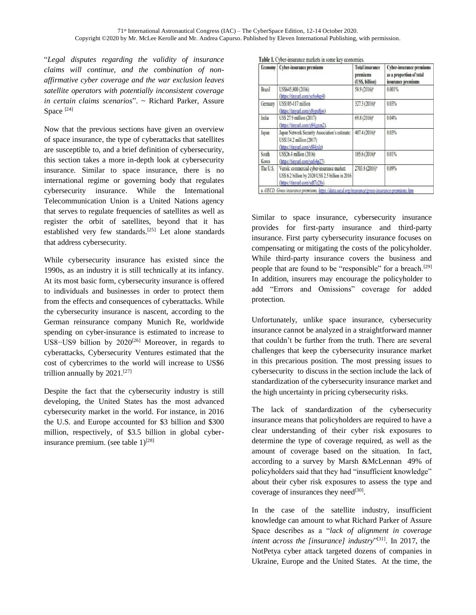"*Legal disputes regarding the validity of insurance claims will continue, and the combination of nonaffirmative cyber coverage and the war exclusion leaves satellite operators with potentially inconsistent coverage in certain claims scenarios*". ~ Richard Parker, Assure Space<sup>[24]</sup>

Now that the previous sections have given an overview of space insurance, the type of cyberattacks that satellites are susceptible to, and a brief definition of cybersecurity, this section takes a more in-depth look at cybersecurity insurance. Similar to space insurance, there is no international regime or governing body that regulates cybersecurity insurance. While the International Telecommunication Union is a United Nations agency that serves to regulate frequencies of satellites as well as register the orbit of satellites, beyond that it has established very few standards.[25] Let alone standards that address cybersecurity.

While cybersecurity insurance has existed since the 1990s, as an industry it is still technically at its infancy. At its most basic form, cybersecurity insurance is offered to individuals and businesses in order to protect them from the effects and consequences of cyberattacks. While the cybersecurity insurance is nascent, according to the German reinsurance company Munich Re, worldwide spending on cyber-insurance is estimated to increase to US8–US9 billion by 2020<sup>[26]</sup> Moreover, in regards to cyberattacks, Cybersecurity Ventures estimated that the cost of cybercrimes to the world will increase to US\$6 trillion annually by  $2021$ .<sup>[27]</sup>

Despite the fact that the cybersecurity industry is still developing, the United States has the most advanced cybersecurity market in the world. For instance, in 2016 the U.S. and Europe accounted for \$3 billion and \$300 million, respectively, of \$3.5 billion in global cyberinsurance premium. (see table  $1$ )<sup>[28]</sup>

| <b>Economy</b> | <b>Cyber-insurance premiums</b>                                                                                                    | <b>Total insurance</b><br>premiums<br>(USS, billion) | <b>Cyber-insurance premiums</b><br>as a proportion of total<br>insurance premiums |
|----------------|------------------------------------------------------------------------------------------------------------------------------------|------------------------------------------------------|-----------------------------------------------------------------------------------|
| <b>Brazil</b>  | US\$645,800 (2016)<br>(https://tinyurl.com/yc6u4ap4)                                                                               | 58.9 (2016) <sup>2</sup>                             | 0.001%                                                                            |
| Germany        | US\$105-117 million<br>(https://tinyurl.com/y8ypu8jw)                                                                              | 327.3 (2016) <sup>a</sup>                            | 0.03%                                                                             |
| India          | US\$ 27.9 million (2017)<br>(https://tinyurl.com/y84jgxm2).                                                                        | 69.8 (2016) <sup>2</sup>                             | 0.04%                                                                             |
| Japan          | Japan Network Security Association's estimate:<br>US\$134.2 million (2017)<br>(https://tinyurl.com/y8l4jxlz)                       | 407.4 (2016) <sup>2</sup>                            | 0.03%                                                                             |
| South<br>Korea | US\$26.4 million (2016)<br>(https://tinyurl.com/yafs4p27).                                                                         | 185.6 (2016) <sup>2</sup>                            | 0.01%                                                                             |
| The U.S.       | Verisk: commercial cyber-insurance market:<br>US\$ 6.2 billion by 2020 US\$ 2.5 billion in 2016<br>(https://tinyurl.com/ydf7z28s). | 2703.8 (2016) <sup>2</sup>                           | 0.09%                                                                             |

Similar to space insurance, cybersecurity insurance provides for first-party insurance and third-party insurance. First party cybersecurity insurance focuses on compensating or mitigating the costs of the policyholder. While third-party insurance covers the business and people that are found to be "responsible" for a breach.<sup>[29]</sup> In addition, insurers may encourage the policyholder to add "Errors and Omissions" coverage for added protection.

Unfortunately, unlike space insurance, cybersecurity insurance cannot be analyzed in a straightforward manner that couldn't be further from the truth. There are several challenges that keep the cybersecurity insurance market in this precarious position. The most pressing issues to cybersecurity to discuss in the section include the lack of standardization of the cybersecurity insurance market and the high uncertainty in pricing cybersecurity risks.

The lack of standardization of the cybersecurity insurance means that policyholders are required to have a clear understanding of their cyber risk exposures to determine the type of coverage required, as well as the amount of coverage based on the situation. In fact, according to a survey by Marsh &McLennan 49% of policyholders said that they had "insufficient knowledge" about their cyber risk exposures to assess the type and coverage of insurances they need<sup>[30]</sup>.

In the case of the satellite industry, insufficient knowledge can amount to what Richard Parker of Assure Space describes as a "*lack of alignment in coverage*  intent across the [insurance] industry"<sup>[31]</sup>. In 2017, the NotPetya cyber attack targeted dozens of companies in Ukraine, Europe and the United States. At the time, the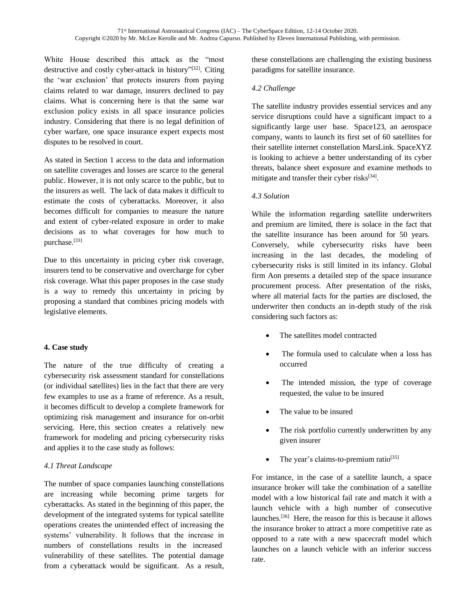White House described this attack as the "most destructive and costly cyber-attack in history"<sup>[32]</sup>. Citing the 'war exclusion' that protects insurers from paying claims related to war damage, insurers declined to pay claims. What is concerning here is that the same war exclusion policy exists in all space insurance policies industry. Considering that there is no legal definition of cyber warfare, one space insurance expert expects most disputes to be resolved in court.

As stated in Section 1 access to the data and information on satellite coverages and losses are scarce to the general public. However, it is not only scarce to the public, but to the insurers as well. The lack of data makes it difficult to estimate the costs of cyberattacks. Moreover, it also becomes difficult for companies to measure the nature and extent of cyber-related exposure in order to make decisions as to what coverages for how much to purchase.[33]

Due to this uncertainty in pricing cyber risk coverage, insurers tend to be conservative and overcharge for cyber risk coverage. What this paper proposes in the case study is a way to remedy this uncertainty in pricing by proposing a standard that combines pricing models with legislative elements.

## **4. Case study**

The nature of the true difficulty of creating a cybersecurity risk assessment standard for constellations (or individual satellites) lies in the fact that there are very few examples to use as a frame of reference. As a result, it becomes difficult to develop a complete framework for optimizing risk management and insurance for on-orbit servicing. Here, this section creates a relatively new framework for modeling and pricing cybersecurity risks and applies it to the case study as follows:

## *4.1 Threat Landscape*

The number of space companies launching constellations are increasing while becoming prime targets for cyberattacks. As stated in the beginning of this paper, the development of the integrated systems for typical satellite operations creates the unintended effect of increasing the systems' vulnerability. It follows that the increase in numbers of constellations results in the increased vulnerability of these satellites. The potential damage from a cyberattack would be significant. As a result,

these constellations are challenging the existing business paradigms for satellite insurance.

## *4.2 Challenge*

The satellite industry provides essential services and any service disruptions could have a significant impact to a significantly large user base. Space123, an aerospace company, wants to launch its first set of 60 satellites for their satellite internet constellation MarsLink. SpaceXYZ is looking to achieve a better understanding of its cyber threats, balance sheet exposure and examine methods to mitigate and transfer their cyber risks<sup>[34]</sup>.

## *4.3 Solution*

While the information regarding satellite underwriters and premium are limited, there is solace in the fact that the satellite insurance has been around for 50 years. Conversely, while cybersecurity risks have been increasing in the last decades, the modeling of cybersecurity risks is still limited in its infancy. Global firm Aon presents a detailed step of the space insurance procurement process. After presentation of the risks, where all material facts for the parties are disclosed, the underwriter then conducts an in-depth study of the risk considering such factors as:

- The satellites model contracted
- The formula used to calculate when a loss has occurred
- The intended mission, the type of coverage requested, the value to be insured
- The value to be insured
- The risk portfolio currently underwritten by any given insurer
- The year's claims-to-premium ratio<sup>[35]</sup>

For instance, in the case of a satellite launch, a space insurance broker will take the combination of a satellite model with a low historical fail rate and match it with a launch vehicle with a high number of consecutive launches.[36] Here, the reason for this is because it allows the insurance broker to attract a more competitive rate as opposed to a rate with a new spacecraft model which launches on a launch vehicle with an inferior success rate.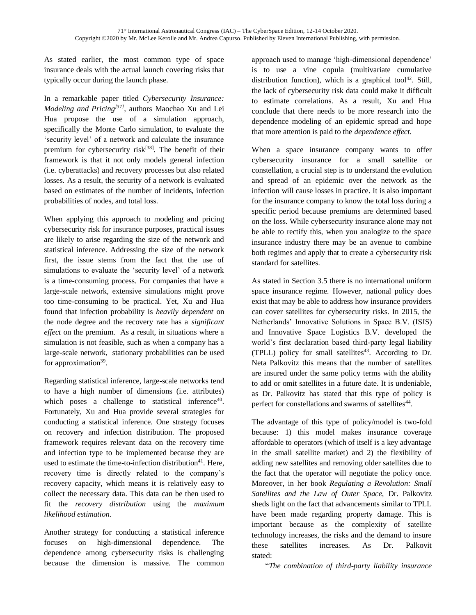As stated earlier, the most common type of space insurance deals with the actual launch covering risks that typically occur during the launch phase.

In a remarkable paper titled *Cybersecurity Insurance: Modeling and Pricing[37] ,* authors Maochao Xu and Lei Hua propose the use of a simulation approach, specifically the Monte Carlo simulation, to evaluate the 'security level' of a network and calculate the insurance premium for cybersecurity risk<sup>[38]</sup>. The benefit of their framework is that it not only models general infection (i.e. cyberattacks) and recovery processes but also related losses. As a result, the security of a network is evaluated based on estimates of the number of incidents, infection probabilities of nodes, and total loss.

When applying this approach to modeling and pricing cybersecurity risk for insurance purposes, practical issues are likely to arise regarding the size of the network and statistical inference. Addressing the size of the network first, the issue stems from the fact that the use of simulations to evaluate the 'security level' of a network is a time-consuming process. For companies that have a large-scale network, extensive simulations might prove too time-consuming to be practical. Yet, Xu and Hua found that infection probability is *heavily dependent* on the node degree and the recovery rate has a *significant effect* on the premium. As a result, in situations where a simulation is not feasible, such as when a company has a large-scale network, stationary probabilities can be used for approximation<sup>39</sup>.

Regarding statistical inference, large-scale networks tend to have a high number of dimensions (i.e. attributes) which poses a challenge to statistical inference<sup>40</sup>. Fortunately, Xu and Hua provide several strategies for conducting a statistical inference. One strategy focuses on recovery and infection distribution. The proposed framework requires relevant data on the recovery time and infection type to be implemented because they are used to estimate the time-to-infection distribution $41$ . Here, recovery time is directly related to the company's recovery capacity, which means it is relatively easy to collect the necessary data. This data can be then used to fit the *recovery distribution* using the *maximum likelihood estimation*.

Another strategy for conducting a statistical inference focuses on high-dimensional dependence. The dependence among cybersecurity risks is challenging because the dimension is massive. The common

approach used to manage 'high-dimensional dependence' is to use a vine copula (multivariate cumulative distribution function), which is a graphical tool<sup>42</sup>. Still, the lack of cybersecurity risk data could make it difficult to estimate correlations. As a result, Xu and Hua conclude that there needs to be more research into the dependence modeling of an epidemic spread and hope that more attention is paid to the *dependence effect*.

When a space insurance company wants to offer cybersecurity insurance for a small satellite or constellation, a crucial step is to understand the evolution and spread of an epidemic over the network as the infection will cause losses in practice. It is also important for the insurance company to know the total loss during a specific period because premiums are determined based on the loss. While cybersecurity insurance alone may not be able to rectify this, when you analogize to the space insurance industry there may be an avenue to combine both regimes and apply that to create a cybersecurity risk standard for satellites.

As stated in Section 3.5 there is no international uniform space insurance regime. However, national policy does exist that may be able to address how insurance providers can cover satellites for cybersecurity risks. In 2015, the Netherlands' Innovative Solutions in Space B.V. (ISIS) and Innovative Space Logistics B.V. developed the world's first declaration based third-party legal liability  $(TPLL)$  policy for small satellites<sup>43</sup>. According to Dr. Neta Palkovitz this means that the number of satellites are insured under the same policy terms with the ability to add or omit satellites in a future date. It is undeniable, as Dr. Palkovitz has stated that this type of policy is perfect for constellations and swarms of satellites<sup>44</sup>.

The advantage of this type of policy/model is two-fold because: 1) this model makes insurance coverage affordable to operators (which of itself is a key advantage in the small satellite market) and 2) the flexibility of adding new satellites and removing older satellites due to the fact that the operator will negotiate the policy once. Moreover, in her book *Regulating a Revolution: Small Satellites and the Law of Outer Space,* Dr. Palkovitz sheds light on the fact that advancements similar to TPLL have been made regarding property damage. This is important because as the complexity of satellite technology increases, the risks and the demand to insure these satellites increases. As Dr. Palkovit stated:

"*The combination of third-party liability insurance*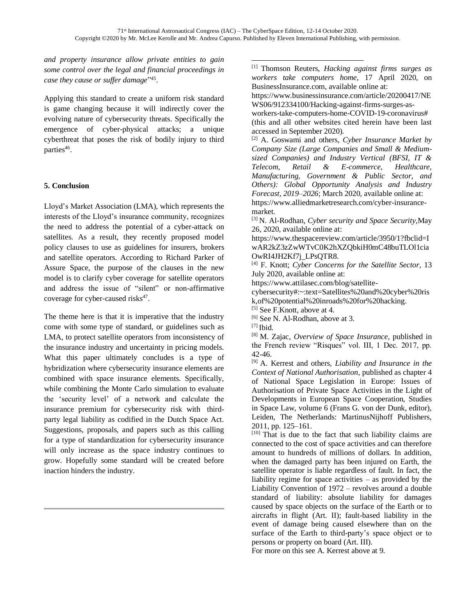*and property insurance allow private entities to gain some control over the legal and financial proceedings in*  case they cause or suffer damage<sup>145</sup>.

Applying this standard to create a uniform risk standard is game changing because it will indirectly cover the evolving nature of cybersecurity threats. Specifically the emergence of cyber-physical attacks; a unique cyberthreat that poses the risk of bodily injury to third parties<sup>46</sup>.

## **5. Conclusion**

Lloyd's Market Association (LMA), which represents the interests of the Lloyd's insurance community, recognizes the need to address the potential of a cyber-attack on satellites. As a result, they recently proposed model policy clauses to use as guidelines for insurers, brokers and satellite operators. According to Richard Parker of Assure Space, the purpose of the clauses in the new model is to clarify cyber coverage for satellite operators and address the issue of "silent" or non-affirmative coverage for cyber-caused risks $47$ .

The theme here is that it is imperative that the industry come with some type of standard, or guidelines such as LMA, to protect satellite operators from inconsistency of the insurance industry and uncertainty in pricing models. What this paper ultimately concludes is a type of hybridization where cybersecurity insurance elements are combined with space insurance elements. Specifically, while combining the Monte Carlo simulation to evaluate the 'security level' of a network and calculate the insurance premium for cybersecurity risk with thirdparty legal liability as codified in the Dutch Space Act. Suggestions, proposals, and papers such as this calling for a type of standardization for cybersecurity insurance will only increase as the space industry continues to grow. Hopefully some standard will be created before inaction hinders the industry.

[1] Thomson Reuters, *Hacking against firms surges as workers take computers home*, 17 April 2020, on BusinessInsurance.com, available online at:

[https://www.businessinsurance.com/article/20200417/NE](https://www.businessinsurance.com/article/20200417/NEWS06/912334100/Hacking-against-firms-surges-as-workers-take-computers-home-COVID-19-coronavirus) [WS06/912334100/Hacking-against-firms-surges-as-](https://www.businessinsurance.com/article/20200417/NEWS06/912334100/Hacking-against-firms-surges-as-workers-take-computers-home-COVID-19-coronavirus)

[workers-take-computers-home-COVID-19-coronavirus#](https://www.businessinsurance.com/article/20200417/NEWS06/912334100/Hacking-against-firms-surges-as-workers-take-computers-home-COVID-19-coronavirus)  (this and all other websites cited herein have been last accessed in September 2020).

[2] A. Goswami and others, *Cyber Insurance Market by Company Size (Large Companies and Small & Mediumsized Companies) and Industry Vertical (BFSI, IT & Telecom, Retail & E-commerce, Healthcare, Manufacturing, Government & Public Sector, and Others): Global Opportunity Analysis and Industry Forecast, 2019–2026*; March 2020, available online at: [https://www.alliedmarketresearch.com/cyber-insurance-](https://www.alliedmarketresearch.com/cyber-insurance-market)

[market.](https://www.alliedmarketresearch.com/cyber-insurance-market) [3] N. Al-Rodhan, *Cyber security and Space Security,*May 26, 2020, available online at:

[https://www.thespacereview.com/article/3950/1?fbclid=I](https://www.thespacereview.com/article/3950/1?fbclid=IwAR2kZ3zZwWTvC0K2hXZQbkiH0mC48buTLOl1ciaOwRI4JH2Kf7j_LPsQTR8) [wAR2kZ3zZwWTvC0K2hXZQbkiH0mC48buTLOl1cia](https://www.thespacereview.com/article/3950/1?fbclid=IwAR2kZ3zZwWTvC0K2hXZQbkiH0mC48buTLOl1ciaOwRI4JH2Kf7j_LPsQTR8) [OwRI4JH2Kf7j\\_LPsQTR8.](https://www.thespacereview.com/article/3950/1?fbclid=IwAR2kZ3zZwWTvC0K2hXZQbkiH0mC48buTLOl1ciaOwRI4JH2Kf7j_LPsQTR8)

[4] F. Knott; *Cyber Concerns for the Satellite Sector*, 13 July 2020, available online at:

[https://www.attilasec.com/blog/satellite-](https://www.attilasec.com/blog/satellite-cybersecurity#:~:text=Satellites%20and%20cyber%20risk,of%20potential%20inroads%20for%20hacking)

[cybersecurity#:~:text=Satellites%20and%20cyber%20ris](https://www.attilasec.com/blog/satellite-cybersecurity#:~:text=Satellites%20and%20cyber%20risk,of%20potential%20inroads%20for%20hacking) [k,of%20potential%20inroads%20for%20hacking.](https://www.attilasec.com/blog/satellite-cybersecurity#:~:text=Satellites%20and%20cyber%20risk,of%20potential%20inroads%20for%20hacking)

[5] See F.Knott, above at 4.

[6] See N. Al-Rodhan, above at 3.

[8] M. Zajac, *Overview of Space Insurance*, published in the French review "Risques" vol. III, 1 Dec. 2017, pp. 42-46.

[9] A. Kerrest and others, *Liability and Insurance in the Context of National Authorisation,* published as chapter 4 of National Space Legislation in Europe: Issues of Authorisation of Private Space Activities in the Light of Developments in European Space Cooperation, Studies in Space Law, volume 6 (Frans G. von der Dunk, editor), Leiden, The Netherlands: MartinusNijhoff Publishers, 2011, pp. 125–161.

 $[10]$  That is due to the fact that such liability claims are connected to the cost of space activities and can therefore amount to hundreds of millions of dollars. In addition, when the damaged party has been injured on Earth, the satellite operator is liable regardless of fault. In fact, the liability regime for space activities – as provided by the Liability Convention of 1972 – revolves around a double standard of liability: absolute liability for damages caused by space objects on the surface of the Earth or to aircrafts in flight (Art. II); fault-based liability in the event of damage being caused elsewhere than on the surface of the Earth to third-party's space object or to persons or property on board (Art. III).

For more on this see A. Kerrest above at 9.

<sup>[7]</sup> Ibid.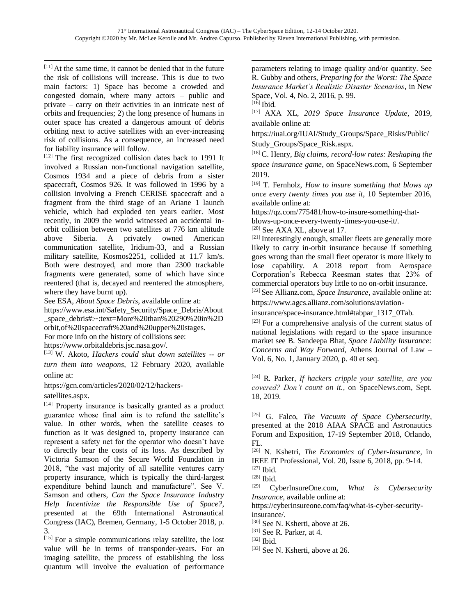$[11]$  At the same time, it cannot be denied that in the future the risk of collisions will increase. This is due to two main factors: 1) Space has become a crowded and congested domain, where many actors – public and private – carry on their activities in an intricate nest of orbits and frequencies; 2) the long presence of humans in outer space has created a dangerous amount of debris orbiting next to active satellites with an ever-increasing risk of collisions. As a consequence, an increased need for liability insurance will follow.

[12] The first recognized collision dates back to 1991 It involved a Russian non-functional navigation satellite, Cosmos 1934 and a piece of debris from a sister spacecraft, Cosmos 926. It was followed in 1996 by a collision involving a French CERISE spacecraft and a fragment from the third stage of an Ariane 1 launch vehicle, which had exploded ten years earlier. Most recently, in 2009 the world witnessed an accidental inorbit collision between two satellites at 776 km altitude above Siberia. A privately owned American communication satellite, Iridium-33, and a Russian military satellite, Kosmos2251, collided at 11.7 km/s. Both were destroyed, and more than 2300 trackable fragments were generated, some of which have since reentered (that is, decayed and reentered the atmosphere, where they have burnt up).

See ESA, *About Space Debris*, available online at:

[https://www.esa.int/Safety\\_Security/Space\\_Debris/About](https://www.esa.int/Safety_Security/Space_Debris/About_space_debris#:~:text=More%20than%20290%20in%2Dorbit,of%20spacecraft%20and%20upper%20stages) space\_debris#:~:text=More%20than%20290%20in%2D [orbit,of%20spacecraft%20and%20upper%20stages.](https://www.esa.int/Safety_Security/Space_Debris/About_space_debris#:~:text=More%20than%20290%20in%2Dorbit,of%20spacecraft%20and%20upper%20stages)

For more info on the history of collisions see:

https://www.orbitaldebris.jsc.nasa.gov/.

[13] W. Akoto, *Hackers could shut down satellites -- or turn them into weapons*, 12 February 2020, available online at:

[https://gcn.com/articles/2020/02/12/hackers-](https://gcn.com/articles/2020/02/12/hackers-satellites.aspx)

[satellites.aspx.](https://gcn.com/articles/2020/02/12/hackers-satellites.aspx)

[14] Property insurance is basically granted as a product guarantee whose final aim is to refund the satellite's value. In other words, when the satellite ceases to function as it was designed to, property insurance can represent a safety net for the operator who doesn't have to directly bear the costs of its loss. As described by Victoria Samson of the Secure World Foundation in 2018, "the vast majority of all satellite ventures carry property insurance, which is typically the third-largest expenditure behind launch and manufacture". See V. Samson and others, *Can the Space Insurance Industry Help Incentivize the Responsible Use of Space?*, presented at the 69th International Astronautical Congress (IAC), Bremen, Germany, 1-5 October 2018, p. 3.

[15] For a simple communications relay satellite, the lost value will be in terms of transponder-years. For an imaging satellite, the process of establishing the loss quantum will involve the evaluation of performance

parameters relating to image quality and/or quantity. See R. Gubby and others, *Preparing for the Worst: The Space Insurance Market's Realistic Disaster Scenarios*, in New Space, Vol. 4, No. 2, 2016, p. 99. [16] **Ibid.** 

[17] AXA XL, *2019 Space Insurance Update*, 2019, available online at:

https://iuai.org/IUAI/Study\_Groups/Space\_Risks/Public/ Study\_Groups/Space\_Risk.aspx.

[18] C. Henry, *Big claims, record-low rates: Reshaping the space insurance game*, on SpaceNews.com, 6 September 2019.

[19] T. Fernholz, *How to insure something that blows up once every twenty times you use it*, 10 September 2016, available online at:

https://qz.com/775481/how-to-insure-something-that-

blows-up-once-every-twenty-times-you-use-it/.

[20] See AXA XL, above at 17.

<sup>[21]</sup> Interestingly enough, smaller fleets are generally more likely to carry in-orbit insurance because if something goes wrong than the small fleet operator is more likely to lose capability. A 2018 report from Aerospace Corporation's Rebecca Reesman states that 23% of commercial operators buy little to no on-orbit insurance. [22] See Allianz.com, *Space Insurance*, available online at:

https://www.agcs.allianz.com/solutions/aviation-

insurance/space-insurance.html#tabpar\_1317\_0Tab.

[23] For a comprehensive analysis of the current status of national legislations with regard to the space insurance market see B. Sandeepa Bhat, *Space Liability Insurance: Concerns and Way Forward*, Athens Journal of Law – Vol. 6, No. 1, January 2020, p. 40 et seq.

[24] R. Parker, *If hackers cripple your satellite, are you covered? Don't count on it.*, on SpaceNews.com, Sept. 18, 2019.

[25] G. Falco, *The Vacuum of Space Cybersecurity*, presented at the 2018 AIAA SPACE and Astronautics Forum and Exposition, 17-19 September 2018, Orlando, FL.

[26] N. Kshetri, *The Economics of Cyber-Insurance,* in IEEE IT Professional, Vol. 20, Issue 6, 2018, pp. 9-14. [27] Ibid.

[29] CyberInsureOne.com, *What is Cybersecurity Insurance,* available online at:

https://cyberinsureone.com/faq/what-is-cyber-securityinsurance/.

[30] See N. Ksherti, above at 26.

[31] See R. Parker, at 4.

[32] Ibid.

[33] See N. Ksherti, above at 26.

<sup>[28]</sup> Ibid.